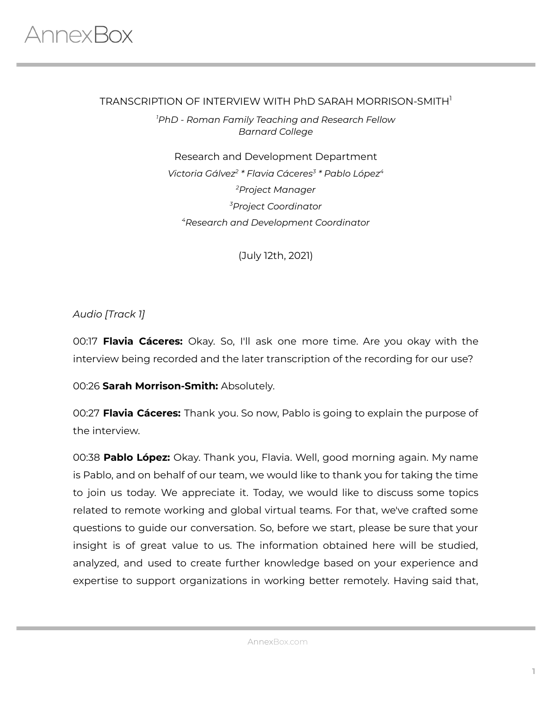#### TRANSCRIPTION OF INTERVIEW WITH PhD SARAH MORRISON-SMITH $^{\rm l}$

*<sup>1</sup>PhD - Roman Family Teaching and Research Fellow Barnard College*

Research and Development Department *Victoria Gálvez 2 \* Flavia Cáceres 3 \* Pablo López 4 <sup>2</sup>Project Manager <sup>3</sup>Project Coordinator <sup>4</sup>Research and Development Coordinator*

(July 12th, 2021)

*Audio [Track 1]*

00:17 **Flavia Cáceres:** Okay. So, I'll ask one more time. Are you okay with the interview being recorded and the later transcription of the recording for our use?

00:26 **Sarah Morrison-Smith:** Absolutely.

00:27 **Flavia Cáceres:** Thank you. So now, Pablo is going to explain the purpose of the interview.

00:38 **Pablo López:** Okay. Thank you, Flavia. Well, good morning again. My name is Pablo, and on behalf of our team, we would like to thank you for taking the time to join us today. We appreciate it. Today, we would like to discuss some topics related to remote working and global virtual teams. For that, we've crafted some questions to guide our conversation. So, before we start, please be sure that your insight is of great value to us. The information obtained here will be studied, analyzed, and used to create further knowledge based on your experience and expertise to support organizations in working better remotely. Having said that,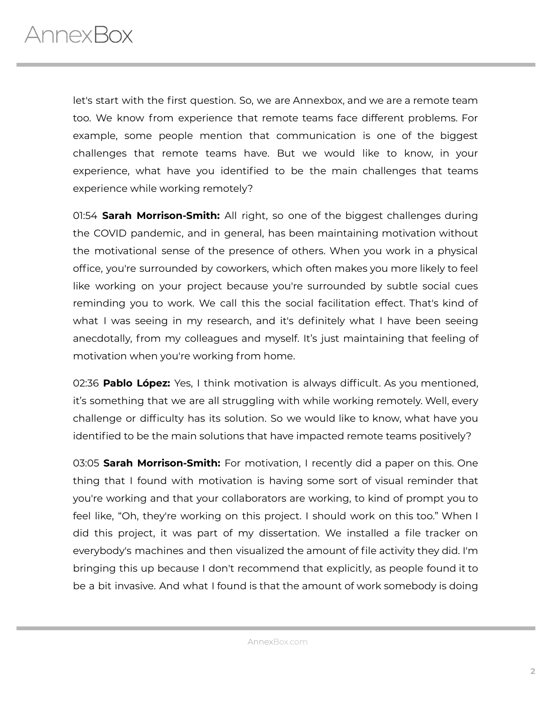let's start with the first question. So, we are Annexbox, and we are a remote team too. We know from experience that remote teams face different problems. For example, some people mention that communication is one of the biggest challenges that remote teams have. But we would like to know, in your experience, what have you identified to be the main challenges that teams experience while working remotely?

01:54 **Sarah Morrison-Smith:** All right, so one of the biggest challenges during the COVID pandemic, and in general, has been maintaining motivation without the motivational sense of the presence of others. When you work in a physical office, you're surrounded by coworkers, which often makes you more likely to feel like working on your project because you're surrounded by subtle social cues reminding you to work. We call this the social facilitation effect. That's kind of what I was seeing in my research, and it's definitely what I have been seeing anecdotally, from my colleagues and myself. It's just maintaining that feeling of motivation when you're working from home.

02:36 **Pablo López:** Yes, I think motivation is always difficult. As you mentioned, it's something that we are all struggling with while working remotely. Well, every challenge or difficulty has its solution. So we would like to know, what have you identified to be the main solutions that have impacted remote teams positively?

03:05 **Sarah Morrison-Smith:** For motivation, I recently did a paper on this. One thing that I found with motivation is having some sort of visual reminder that you're working and that your collaborators are working, to kind of prompt you to feel like, "Oh, they're working on this project. I should work on this too." When I did this project, it was part of my dissertation. We installed a file tracker on everybody's machines and then visualized the amount of file activity they did. I'm bringing this up because I don't recommend that explicitly, as people found it to be a bit invasive. And what I found is that the amount of work somebody is doing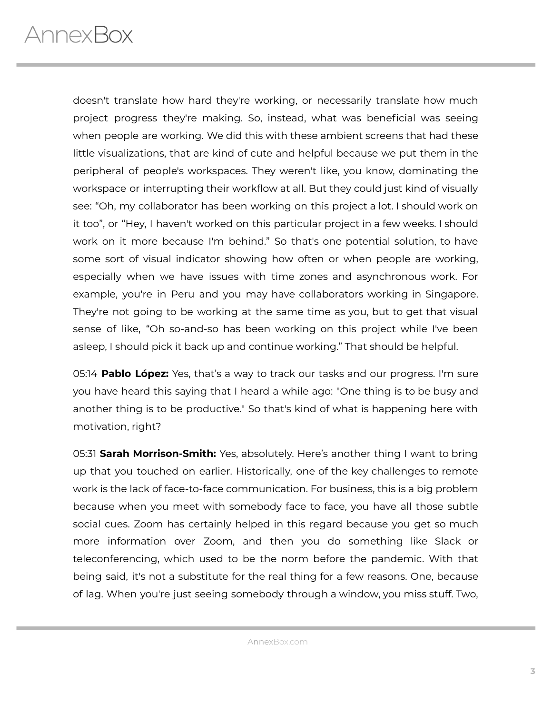doesn't translate how hard they're working, or necessarily translate how much project progress they're making. So, instead, what was beneficial was seeing when people are working. We did this with these ambient screens that had these little visualizations, that are kind of cute and helpful because we put them in the peripheral of people's workspaces. They weren't like, you know, dominating the workspace or interrupting their workflow at all. But they could just kind of visually see: "Oh, my collaborator has been working on this project a lot. I should work on it too", or "Hey, I haven't worked on this particular project in a few weeks. I should work on it more because I'm behind." So that's one potential solution, to have some sort of visual indicator showing how often or when people are working, especially when we have issues with time zones and asynchronous work. For example, you're in Peru and you may have collaborators working in Singapore. They're not going to be working at the same time as you, but to get that visual sense of like, "Oh so-and-so has been working on this project while I've been asleep, I should pick it back up and continue working." That should be helpful.

05:14 **Pablo López:** Yes, that's a way to track our tasks and our progress. I'm sure you have heard this saying that I heard a while ago: "One thing is to be busy and another thing is to be productive." So that's kind of what is happening here with motivation, right?

05:31 **Sarah Morrison-Smith:** Yes, absolutely. Here's another thing I want to bring up that you touched on earlier. Historically, one of the key challenges to remote work is the lack of face-to-face communication. For business, this is a big problem because when you meet with somebody face to face, you have all those subtle social cues. Zoom has certainly helped in this regard because you get so much more information over Zoom, and then you do something like Slack or teleconferencing, which used to be the norm before the pandemic. With that being said, it's not a substitute for the real thing for a few reasons. One, because of lag. When you're just seeing somebody through a window, you miss stuff. Two,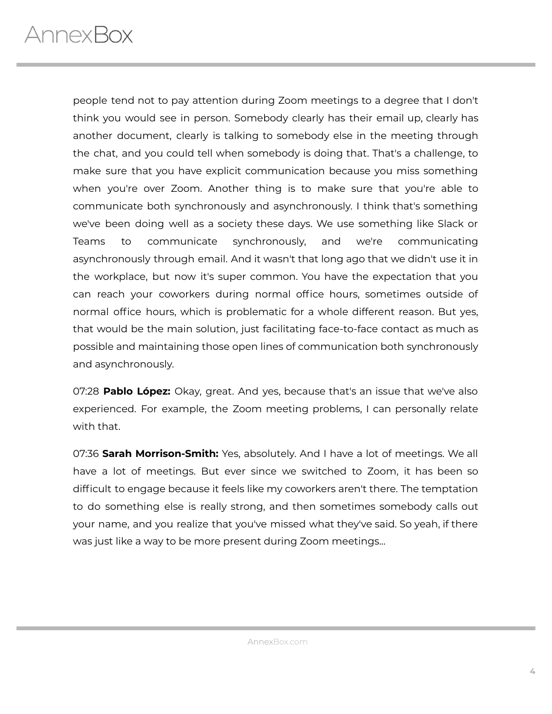people tend not to pay attention during Zoom meetings to a degree that I don't think you would see in person. Somebody clearly has their email up, clearly has another document, clearly is talking to somebody else in the meeting through the chat, and you could tell when somebody is doing that. That's a challenge, to make sure that you have explicit communication because you miss something when you're over Zoom. Another thing is to make sure that you're able to communicate both synchronously and asynchronously. I think that's something we've been doing well as a society these days. We use something like Slack or Teams to communicate synchronously, and we're communicating asynchronously through email. And it wasn't that long ago that we didn't use it in the workplace, but now it's super common. You have the expectation that you can reach your coworkers during normal office hours, sometimes outside of normal office hours, which is problematic for a whole different reason. But yes, that would be the main solution, just facilitating face-to-face contact as much as possible and maintaining those open lines of communication both synchronously and asynchronously.

07:28 **Pablo López:** Okay, great. And yes, because that's an issue that we've also experienced. For example, the Zoom meeting problems, I can personally relate with that.

07:36 **Sarah Morrison-Smith:** Yes, absolutely. And I have a lot of meetings. We all have a lot of meetings. But ever since we switched to Zoom, it has been so difficult to engage because it feels like my coworkers aren't there. The temptation to do something else is really strong, and then sometimes somebody calls out your name, and you realize that you've missed what they've said. So yeah, if there was just like a way to be more present during Zoom meetings...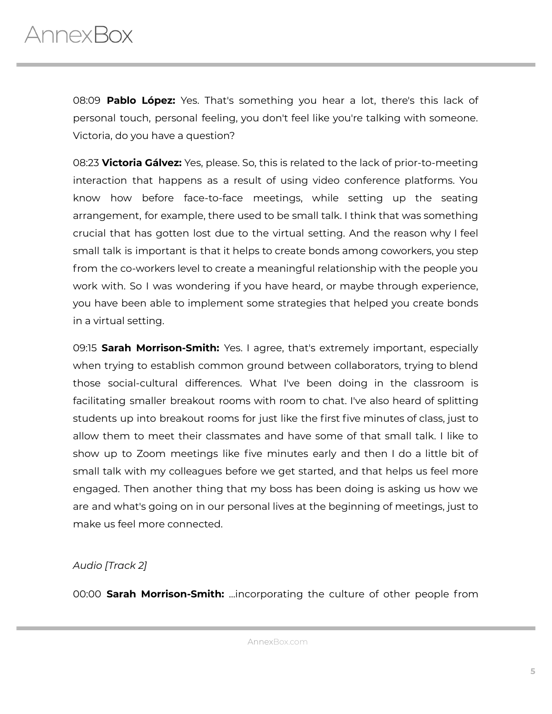08:09 **Pablo López:** Yes. That's something you hear a lot, there's this lack of personal touch, personal feeling, you don't feel like you're talking with someone. Victoria, do you have a question?

08:23 **Victoria Gálvez:** Yes, please. So, this is related to the lack of prior-to-meeting interaction that happens as a result of using video conference platforms. You know how before face-to-face meetings, while setting up the seating arrangement, for example, there used to be small talk. I think that was something crucial that has gotten lost due to the virtual setting. And the reason why I feel small talk is important is that it helps to create bonds among coworkers, you step from the co-workers level to create a meaningful relationship with the people you work with. So I was wondering if you have heard, or maybe through experience, you have been able to implement some strategies that helped you create bonds in a virtual setting.

09:15 **Sarah Morrison-Smith:** Yes. I agree, that's extremely important, especially when trying to establish common ground between collaborators, trying to blend those social-cultural differences. What I've been doing in the classroom is facilitating smaller breakout rooms with room to chat. I've also heard of splitting students up into breakout rooms for just like the first five minutes of class, just to allow them to meet their classmates and have some of that small talk. I like to show up to Zoom meetings like five minutes early and then I do a little bit of small talk with my colleagues before we get started, and that helps us feel more engaged. Then another thing that my boss has been doing is asking us how we are and what's going on in our personal lives at the beginning of meetings, just to make us feel more connected.

*Audio [Track 2]*

00:00 **Sarah Morrison-Smith:** ...incorporating the culture of other people from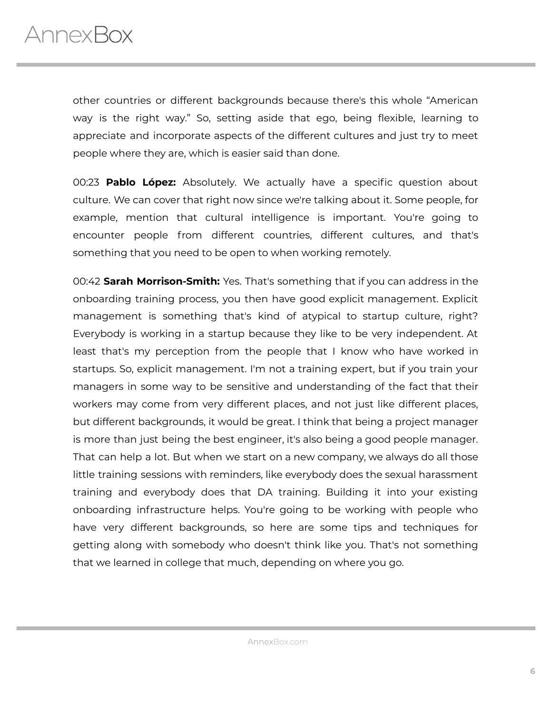other countries or different backgrounds because there's this whole "American way is the right way." So, setting aside that ego, being flexible, learning to appreciate and incorporate aspects of the different cultures and just try to meet people where they are, which is easier said than done.

00:23 **Pablo López:** Absolutely. We actually have a specific question about culture. We can cover that right now since we're talking about it. Some people, for example, mention that cultural intelligence is important. You're going to encounter people from different countries, different cultures, and that's something that you need to be open to when working remotely.

00:42 **Sarah Morrison-Smith:** Yes. That's something that if you can address in the onboarding training process, you then have good explicit management. Explicit management is something that's kind of atypical to startup culture, right? Everybody is working in a startup because they like to be very independent. At least that's my perception from the people that I know who have worked in startups. So, explicit management. I'm not a training expert, but if you train your managers in some way to be sensitive and understanding of the fact that their workers may come from very different places, and not just like different places, but different backgrounds, it would be great. I think that being a project manager is more than just being the best engineer, it's also being a good people manager. That can help a lot. But when we start on a new company, we always do all those little training sessions with reminders, like everybody does the sexual harassment training and everybody does that DA training. Building it into your existing onboarding infrastructure helps. You're going to be working with people who have very different backgrounds, so here are some tips and techniques for getting along with somebody who doesn't think like you. That's not something that we learned in college that much, depending on where you go.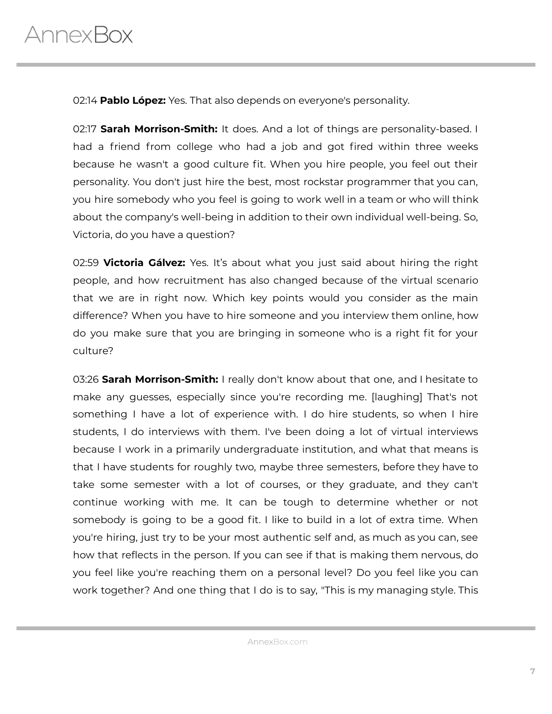02:14 **Pablo López:** Yes. That also depends on everyone's personality.

02:17 **Sarah Morrison-Smith:** It does. And a lot of things are personality-based. I had a friend from college who had a job and got fired within three weeks because he wasn't a good culture fit. When you hire people, you feel out their personality. You don't just hire the best, most rockstar programmer that you can, you hire somebody who you feel is going to work well in a team or who will think about the company's well-being in addition to their own individual well-being. So, Victoria, do you have a question?

02:59 **Victoria Gálvez:** Yes. It's about what you just said about hiring the right people, and how recruitment has also changed because of the virtual scenario that we are in right now. Which key points would you consider as the main difference? When you have to hire someone and you interview them online, how do you make sure that you are bringing in someone who is a right fit for your culture?

03:26 **Sarah Morrison-Smith:** I really don't know about that one, and I hesitate to make any guesses, especially since you're recording me. [laughing] That's not something I have a lot of experience with. I do hire students, so when I hire students, I do interviews with them. I've been doing a lot of virtual interviews because I work in a primarily undergraduate institution, and what that means is that I have students for roughly two, maybe three semesters, before they have to take some semester with a lot of courses, or they graduate, and they can't continue working with me. It can be tough to determine whether or not somebody is going to be a good fit. I like to build in a lot of extra time. When you're hiring, just try to be your most authentic self and, as much as you can, see how that reflects in the person. If you can see if that is making them nervous, do you feel like you're reaching them on a personal level? Do you feel like you can work together? And one thing that I do is to say, "This is my managing style. This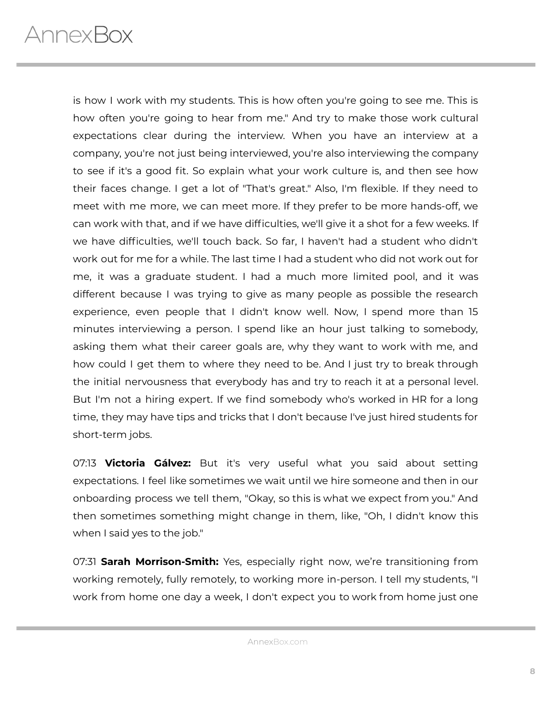is how I work with my students. This is how often you're going to see me. This is how often you're going to hear from me." And try to make those work cultural expectations clear during the interview. When you have an interview at a company, you're not just being interviewed, you're also interviewing the company to see if it's a good fit. So explain what your work culture is, and then see how their faces change. I get a lot of "That's great." Also, I'm flexible. If they need to meet with me more, we can meet more. If they prefer to be more hands-off, we can work with that, and if we have difficulties, we'll give it a shot for a few weeks. If we have difficulties, we'll touch back. So far, I haven't had a student who didn't work out for me for a while. The last time I had a student who did not work out for me, it was a graduate student. I had a much more limited pool, and it was different because I was trying to give as many people as possible the research experience, even people that I didn't know well. Now, I spend more than 15 minutes interviewing a person. I spend like an hour just talking to somebody, asking them what their career goals are, why they want to work with me, and how could I get them to where they need to be. And I just try to break through the initial nervousness that everybody has and try to reach it at a personal level. But I'm not a hiring expert. If we find somebody who's worked in HR for a long time, they may have tips and tricks that I don't because I've just hired students for short-term jobs.

07:13 **Victoria Gálvez:** But it's very useful what you said about setting expectations. I feel like sometimes we wait until we hire someone and then in our onboarding process we tell them, "Okay, so this is what we expect from you." And then sometimes something might change in them, like, "Oh, I didn't know this when I said yes to the job."

07:31 **Sarah Morrison-Smith:** Yes, especially right now, we're transitioning from working remotely, fully remotely, to working more in-person. I tell my students, "I work from home one day a week, I don't expect you to work from home just one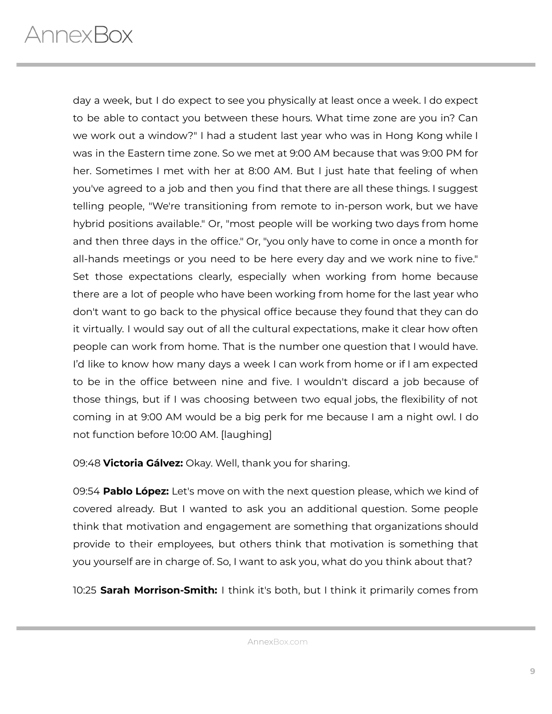day a week, but I do expect to see you physically at least once a week. I do expect to be able to contact you between these hours. What time zone are you in? Can we work out a window?" I had a student last year who was in Hong Kong while I was in the Eastern time zone. So we met at 9:00 AM because that was 9:00 PM for her. Sometimes I met with her at 8:00 AM. But I just hate that feeling of when you've agreed to a job and then you find that there are all these things. I suggest telling people, "We're transitioning from remote to in-person work, but we have hybrid positions available." Or, "most people will be working two days from home and then three days in the office." Or, "you only have to come in once a month for all-hands meetings or you need to be here every day and we work nine to five." Set those expectations clearly, especially when working from home because there are a lot of people who have been working from home for the last year who don't want to go back to the physical office because they found that they can do it virtually. I would say out of all the cultural expectations, make it clear how often people can work from home. That is the number one question that I would have. I'd like to know how many days a week I can work from home or if I am expected to be in the office between nine and five. I wouldn't discard a job because of those things, but if I was choosing between two equal jobs, the flexibility of not coming in at 9:00 AM would be a big perk for me because I am a night owl. I do not function before 10:00 AM. [laughing]

09:48 **Victoria Gálvez:** Okay. Well, thank you for sharing.

09:54 **Pablo López:** Let's move on with the next question please, which we kind of covered already. But I wanted to ask you an additional question. Some people think that motivation and engagement are something that organizations should provide to their employees, but others think that motivation is something that you yourself are in charge of. So, I want to ask you, what do you think about that?

10:25 **Sarah Morrison-Smith:** I think it's both, but I think it primarily comes from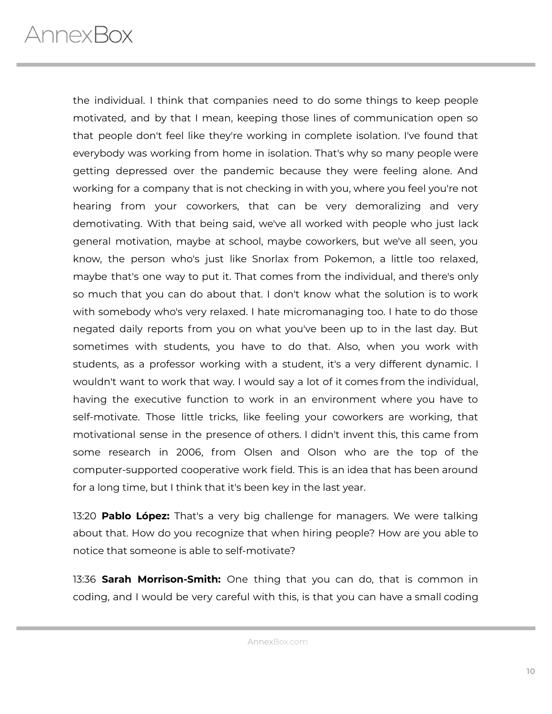the individual. I think that companies need to do some things to keep people motivated, and by that I mean, keeping those lines of communication open so that people don't feel like they're working in complete isolation. I've found that everybody was working from home in isolation. That's why so many people were getting depressed over the pandemic because they were feeling alone. And working for a company that is not checking in with you, where you feel you're not hearing from your coworkers, that can be very demoralizing and very demotivating. With that being said, we've all worked with people who just lack general motivation, maybe at school, maybe coworkers, but we've all seen, you know, the person who's just like Snorlax from Pokemon, a little too relaxed, maybe that's one way to put it. That comes from the individual, and there's only so much that you can do about that. I don't know what the solution is to work with somebody who's very relaxed. I hate micromanaging too. I hate to do those negated daily reports from you on what you've been up to in the last day. But sometimes with students, you have to do that. Also, when you work with students, as a professor working with a student, it's a very different dynamic. I wouldn't want to work that way. I would say a lot of it comes from the individual, having the executive function to work in an environment where you have to self-motivate. Those little tricks, like feeling your coworkers are working, that motivational sense in the presence of others. I didn't invent this, this came from some research in 2006, from Olsen and Olson who are the top of the computer-supported cooperative work field. This is an idea that has been around for a long time, but I think that it's been key in the last year.

13:20 **Pablo López:** That's a very big challenge for managers. We were talking about that. How do you recognize that when hiring people? How are you able to notice that someone is able to self-motivate?

13:36 **Sarah Morrison-Smith:** One thing that you can do, that is common in coding, and I would be very careful with this, is that you can have a small coding

AnnexBox.com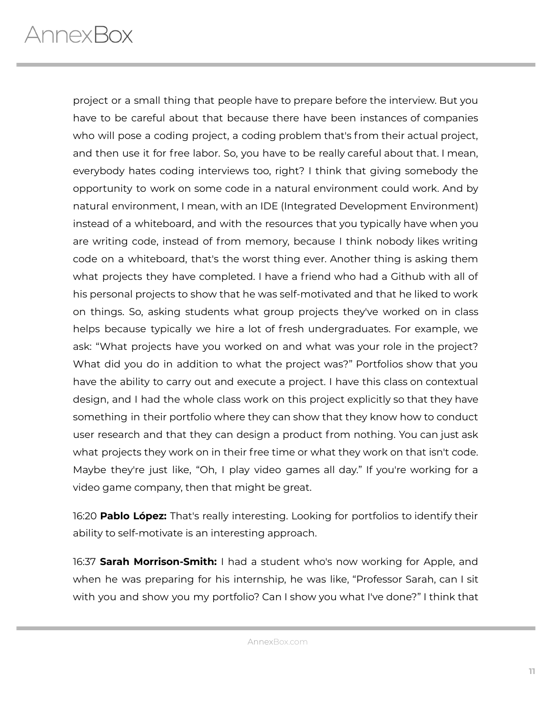project or a small thing that people have to prepare before the interview. But you have to be careful about that because there have been instances of companies who will pose a coding project, a coding problem that's from their actual project, and then use it for free labor. So, you have to be really careful about that. I mean, everybody hates coding interviews too, right? I think that giving somebody the opportunity to work on some code in a natural environment could work. And by natural environment, I mean, with an IDE (Integrated Development Environment) instead of a whiteboard, and with the resources that you typically have when you are writing code, instead of from memory, because I think nobody likes writing code on a whiteboard, that's the worst thing ever. Another thing is asking them what projects they have completed. I have a friend who had a Github with all of his personal projects to show that he was self-motivated and that he liked to work on things. So, asking students what group projects they've worked on in class helps because typically we hire a lot of fresh undergraduates. For example, we ask: "What projects have you worked on and what was your role in the project? What did you do in addition to what the project was?" Portfolios show that you have the ability to carry out and execute a project. I have this class on contextual design, and I had the whole class work on this project explicitly so that they have something in their portfolio where they can show that they know how to conduct user research and that they can design a product from nothing. You can just ask what projects they work on in their free time or what they work on that isn't code. Maybe they're just like, "Oh, I play video games all day." If you're working for a video game company, then that might be great.

16:20 **Pablo López:** That's really interesting. Looking for portfolios to identify their ability to self-motivate is an interesting approach.

16:37 **Sarah Morrison-Smith:** I had a student who's now working for Apple, and when he was preparing for his internship, he was like, "Professor Sarah, can I sit with you and show you my portfolio? Can I show you what I've done?" I think that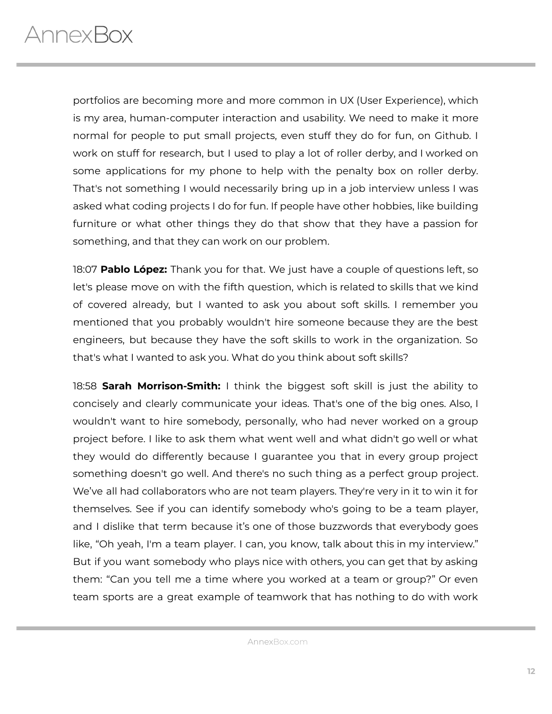portfolios are becoming more and more common in UX (User Experience), which is my area, human-computer interaction and usability. We need to make it more normal for people to put small projects, even stuff they do for fun, on Github. I work on stuff for research, but I used to play a lot of roller derby, and I worked on some applications for my phone to help with the penalty box on roller derby. That's not something I would necessarily bring up in a job interview unless I was asked what coding projects I do for fun. If people have other hobbies, like building furniture or what other things they do that show that they have a passion for something, and that they can work on our problem.

18:07 **Pablo López:** Thank you for that. We just have a couple of questions left, so let's please move on with the fifth question, which is related to skills that we kind of covered already, but I wanted to ask you about soft skills. I remember you mentioned that you probably wouldn't hire someone because they are the best engineers, but because they have the soft skills to work in the organization. So that's what I wanted to ask you. What do you think about soft skills?

18:58 **Sarah Morrison-Smith:** I think the biggest soft skill is just the ability to concisely and clearly communicate your ideas. That's one of the big ones. Also, I wouldn't want to hire somebody, personally, who had never worked on a group project before. I like to ask them what went well and what didn't go well or what they would do differently because I guarantee you that in every group project something doesn't go well. And there's no such thing as a perfect group project. We've all had collaborators who are not team players. They're very in it to win it for themselves. See if you can identify somebody who's going to be a team player, and I dislike that term because it's one of those buzzwords that everybody goes like, "Oh yeah, I'm a team player. I can, you know, talk about this in my interview." But if you want somebody who plays nice with others, you can get that by asking them: "Can you tell me a time where you worked at a team or group?" Or even team sports are a great example of teamwork that has nothing to do with work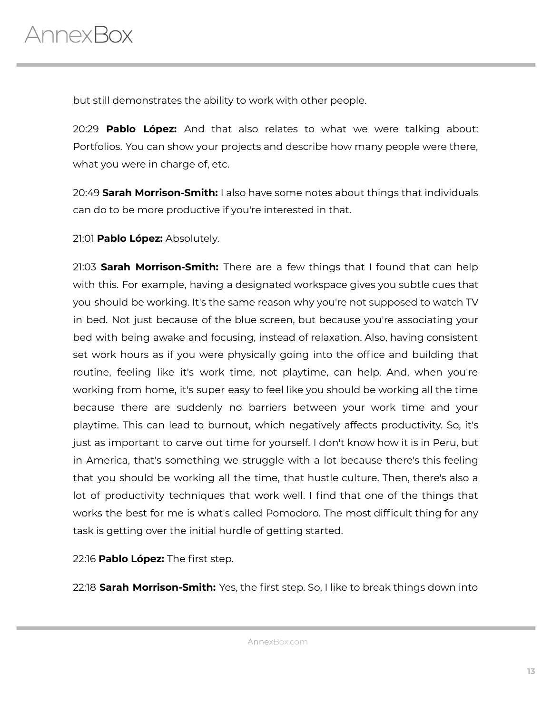but still demonstrates the ability to work with other people.

20:29 **Pablo López:** And that also relates to what we were talking about: Portfolios. You can show your projects and describe how many people were there, what you were in charge of, etc.

20:49 **Sarah Morrison-Smith:** I also have some notes about things that individuals can do to be more productive if you're interested in that.

21:01 **Pablo López:** Absolutely.

21:03 **Sarah Morrison-Smith:** There are a few things that I found that can help with this. For example, having a designated workspace gives you subtle cues that you should be working. It's the same reason why you're not supposed to watch TV in bed. Not just because of the blue screen, but because you're associating your bed with being awake and focusing, instead of relaxation. Also, having consistent set work hours as if you were physically going into the office and building that routine, feeling like it's work time, not playtime, can help. And, when you're working from home, it's super easy to feel like you should be working all the time because there are suddenly no barriers between your work time and your playtime. This can lead to burnout, which negatively affects productivity. So, it's just as important to carve out time for yourself. I don't know how it is in Peru, but in America, that's something we struggle with a lot because there's this feeling that you should be working all the time, that hustle culture. Then, there's also a lot of productivity techniques that work well. I find that one of the things that works the best for me is what's called Pomodoro. The most difficult thing for any task is getting over the initial hurdle of getting started.

22:16 **Pablo López:** The first step.

22:18 **Sarah Morrison-Smith:** Yes, the first step. So, I like to break things down into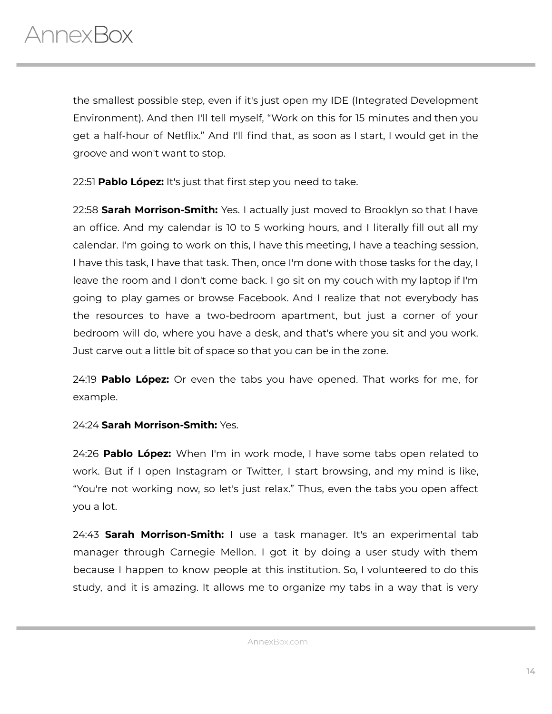the smallest possible step, even if it's just open my IDE (Integrated Development Environment). And then I'll tell myself, "Work on this for 15 minutes and then you get a half-hour of Netflix." And I'll find that, as soon as I start, I would get in the groove and won't want to stop.

22:51 **Pablo López:** It's just that first step you need to take.

22:58 **Sarah Morrison-Smith:** Yes. I actually just moved to Brooklyn so that I have an office. And my calendar is 10 to 5 working hours, and I literally fill out all my calendar. I'm going to work on this, I have this meeting, I have a teaching session, I have this task, I have that task. Then, once I'm done with those tasks for the day, I leave the room and I don't come back. I go sit on my couch with my laptop if I'm going to play games or browse Facebook. And I realize that not everybody has the resources to have a two-bedroom apartment, but just a corner of your bedroom will do, where you have a desk, and that's where you sit and you work. Just carve out a little bit of space so that you can be in the zone.

24:19 **Pablo López:** Or even the tabs you have opened. That works for me, for example.

### 24:24 **Sarah Morrison-Smith:** Yes.

24:26 **Pablo López:** When I'm in work mode, I have some tabs open related to work. But if I open Instagram or Twitter, I start browsing, and my mind is like, "You're not working now, so let's just relax." Thus, even the tabs you open affect you a lot.

24:43 **Sarah Morrison-Smith:** I use a task manager. It's an experimental tab manager through Carnegie Mellon. I got it by doing a user study with them because I happen to know people at this institution. So, I volunteered to do this study, and it is amazing. It allows me to organize my tabs in a way that is very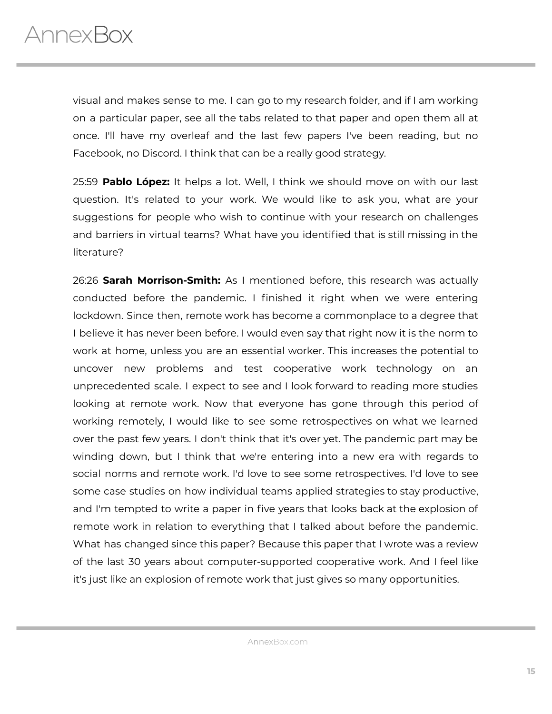visual and makes sense to me. I can go to my research folder, and if I am working on a particular paper, see all the tabs related to that paper and open them all at once. I'll have my overleaf and the last few papers I've been reading, but no Facebook, no Discord. I think that can be a really good strategy.

25:59 **Pablo López:** It helps a lot. Well, I think we should move on with our last question. It's related to your work. We would like to ask you, what are your suggestions for people who wish to continue with your research on challenges and barriers in virtual teams? What have you identified that is still missing in the literature?

26:26 **Sarah Morrison-Smith:** As I mentioned before, this research was actually conducted before the pandemic. I finished it right when we were entering lockdown. Since then, remote work has become a commonplace to a degree that I believe it has never been before. I would even say that right now it is the norm to work at home, unless you are an essential worker. This increases the potential to uncover new problems and test cooperative work technology on an unprecedented scale. I expect to see and I look forward to reading more studies looking at remote work. Now that everyone has gone through this period of working remotely, I would like to see some retrospectives on what we learned over the past few years. I don't think that it's over yet. The pandemic part may be winding down, but I think that we're entering into a new era with regards to social norms and remote work. I'd love to see some retrospectives. I'd love to see some case studies on how individual teams applied strategies to stay productive, and I'm tempted to write a paper in five years that looks back at the explosion of remote work in relation to everything that I talked about before the pandemic. What has changed since this paper? Because this paper that I wrote was a review of the last 30 years about computer-supported cooperative work. And I feel like it's just like an explosion of remote work that just gives so many opportunities.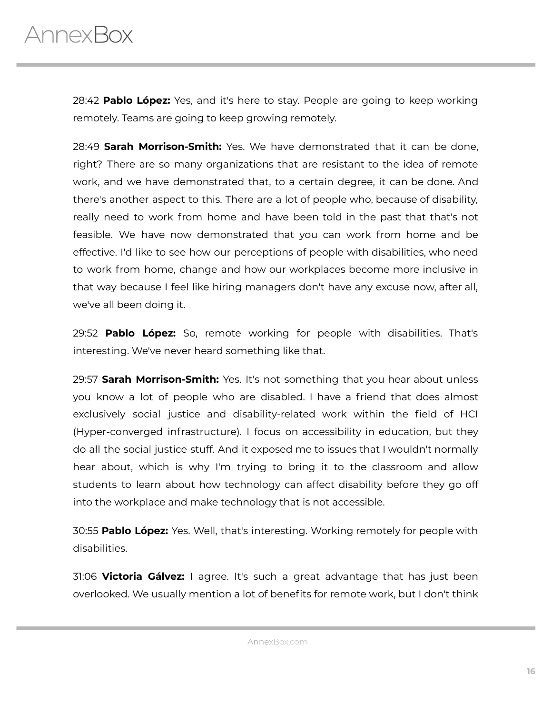28:42 **Pablo López:** Yes, and it's here to stay. People are going to keep working remotely. Teams are going to keep growing remotely.

28:49 **Sarah Morrison-Smith:** Yes. We have demonstrated that it can be done, right? There are so many organizations that are resistant to the idea of remote work, and we have demonstrated that, to a certain degree, it can be done. And there's another aspect to this. There are a lot of people who, because of disability, really need to work from home and have been told in the past that that's not feasible. We have now demonstrated that you can work from home and be effective. I'd like to see how our perceptions of people with disabilities, who need to work from home, change and how our workplaces become more inclusive in that way because I feel like hiring managers don't have any excuse now, after all, we've all been doing it.

29:52 **Pablo López:** So, remote working for people with disabilities. That's interesting. We've never heard something like that.

29:57 **Sarah Morrison-Smith:** Yes. It's not something that you hear about unless you know a lot of people who are disabled. I have a friend that does almost exclusively social justice and disability-related work within the field of HCI (Hyper-converged infrastructure). I focus on accessibility in education, but they do all the social justice stuff. And it exposed me to issues that I wouldn't normally hear about, which is why I'm trying to bring it to the classroom and allow students to learn about how technology can affect disability before they go off into the workplace and make technology that is not accessible.

30:55 **Pablo López:** Yes. Well, that's interesting. Working remotely for people with disabilities.

31:06 **Victoria Gálvez:** I agree. It's such a great advantage that has just been overlooked. We usually mention a lot of benefits for remote work, but I don't think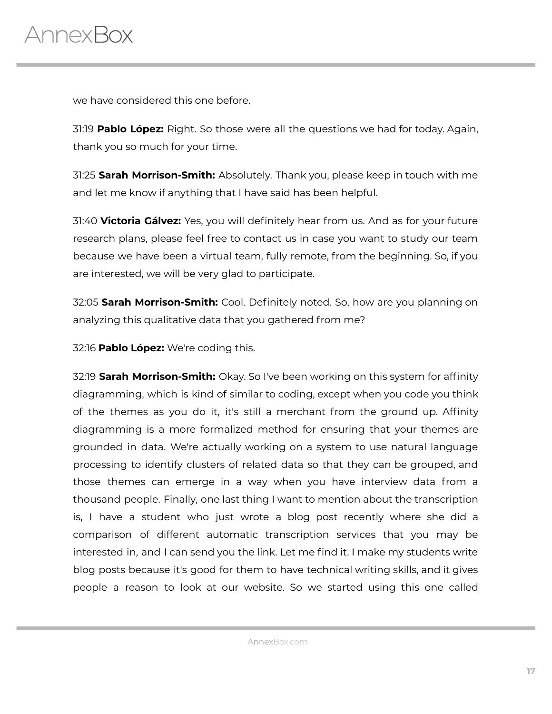we have considered this one before.

31:19 **Pablo López:** Right. So those were all the questions we had for today. Again, thank you so much for your time.

31:25 **Sarah Morrison-Smith:** Absolutely. Thank you, please keep in touch with me and let me know if anything that I have said has been helpful.

31:40 **Victoria Gálvez:** Yes, you will definitely hear from us. And as for your future research plans, please feel free to contact us in case you want to study our team because we have been a virtual team, fully remote, from the beginning. So, if you are interested, we will be very glad to participate.

32:05 **Sarah Morrison-Smith:** Cool. Definitely noted. So, how are you planning on analyzing this qualitative data that you gathered from me?

32:16 **Pablo López:** We're coding this.

32:19 **Sarah Morrison-Smith:** Okay. So I've been working on this system for affinity diagramming, which is kind of similar to coding, except when you code you think of the themes as you do it, it's still a merchant from the ground up. Affinity diagramming is a more formalized method for ensuring that your themes are grounded in data. We're actually working on a system to use natural language processing to identify clusters of related data so that they can be grouped, and those themes can emerge in a way when you have interview data from a thousand people. Finally, one last thing I want to mention about the transcription is, I have a student who just wrote a blog post recently where she did a comparison of different automatic transcription services that you may be interested in, and I can send you the link. Let me find it. I make my students write blog posts because it's good for them to have technical writing skills, and it gives people a reason to look at our website. So we started using this one called